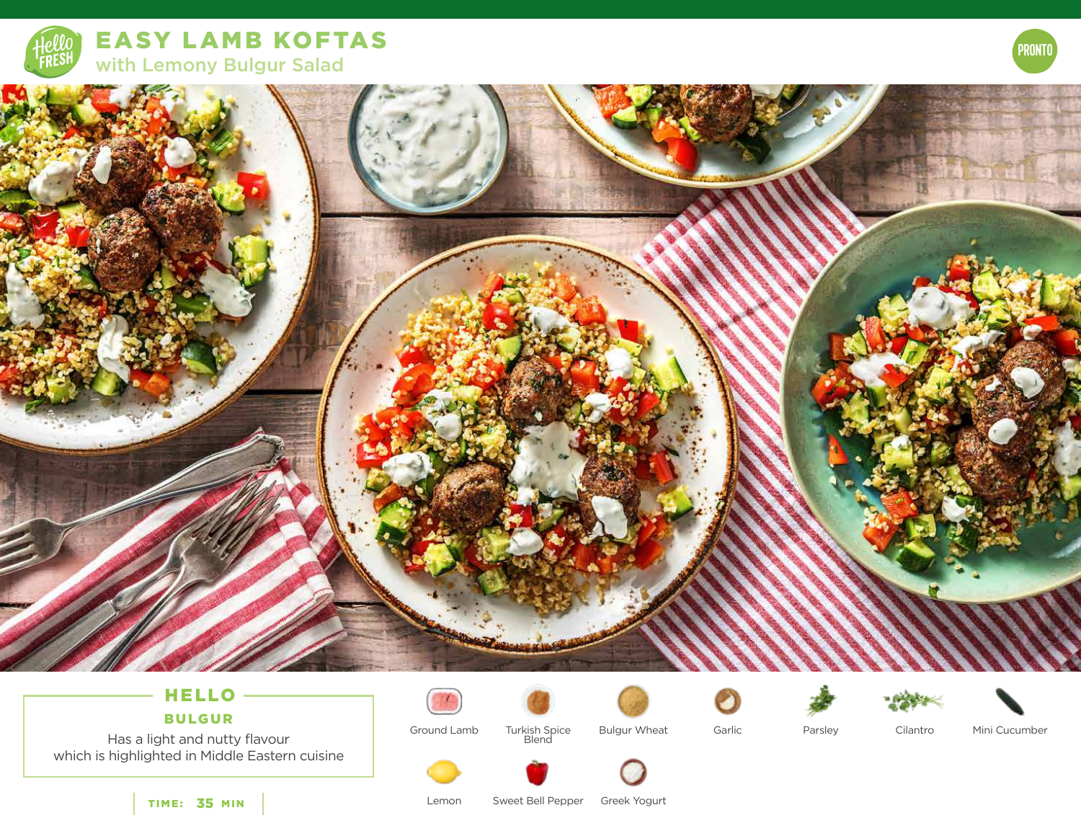

EASY LAMB KOFTAS with Lemony Bulgur Salad



# HELLO

BULGUR

à.

Has a light and nutty flavour which is highlighted in Middle Eastern cuisine



Turkish Spice<br>Blend







Ground Lamb

Turkish Spice Bulgur Wheat Garlic

Parsley Cilantro Mini Cucumber





TIME: 35 MIN

Lemon Sweet Bell Pepper Greek Yogurt